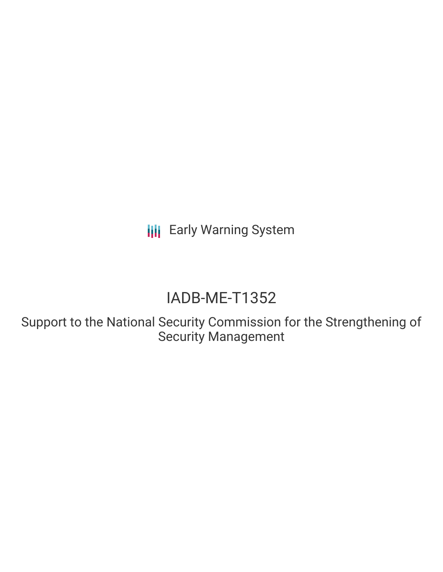**III** Early Warning System

# IADB-ME-T1352

Support to the National Security Commission for the Strengthening of Security Management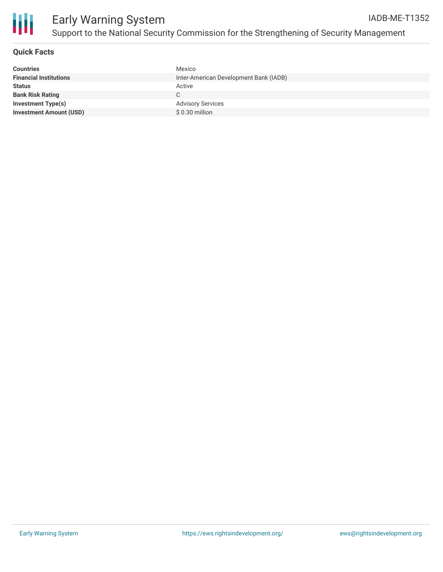

# **Quick Facts**

| <b>Countries</b>               | Mexico                                 |
|--------------------------------|----------------------------------------|
| <b>Financial Institutions</b>  | Inter-American Development Bank (IADB) |
| <b>Status</b>                  | Active                                 |
| <b>Bank Risk Rating</b>        |                                        |
| Investment Type(s)             | <b>Advisory Services</b>               |
| <b>Investment Amount (USD)</b> | \$ 0.30 million                        |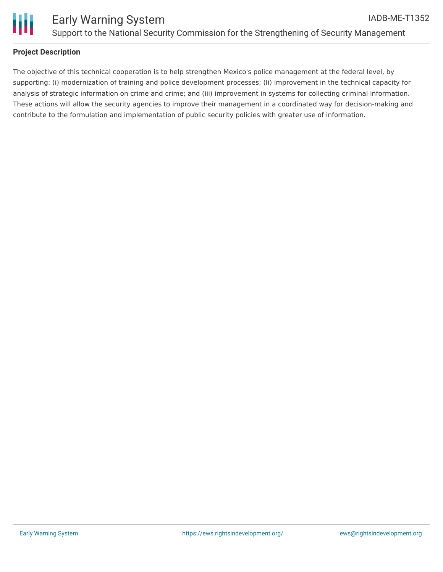

# **Project Description**

The objective of this technical cooperation is to help strengthen Mexico's police management at the federal level, by supporting: (i) modernization of training and police development processes; (Ii) improvement in the technical capacity for analysis of strategic information on crime and crime; and (iii) improvement in systems for collecting criminal information. These actions will allow the security agencies to improve their management in a coordinated way for decision-making and contribute to the formulation and implementation of public security policies with greater use of information.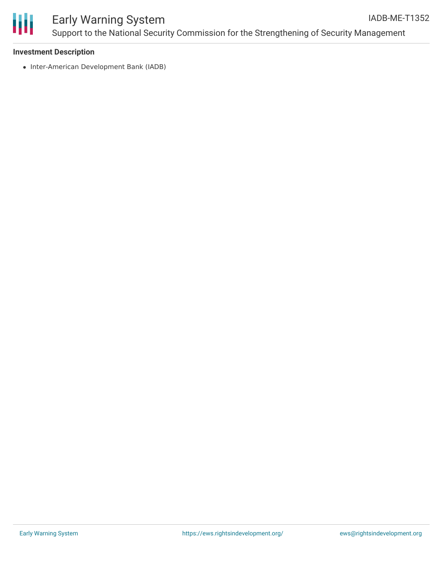

#### **Investment Description**

• Inter-American Development Bank (IADB)